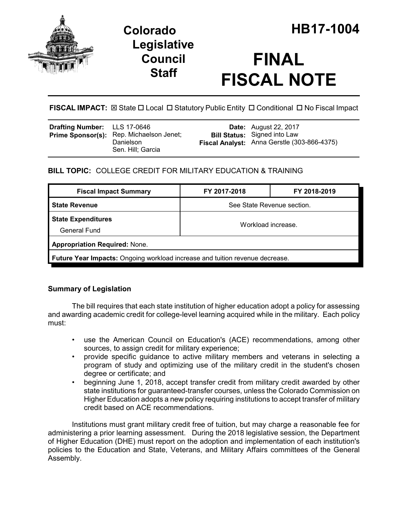



# **FINAL FISCAL NOTE**

**FISCAL IMPACT:** ⊠ State □ Local □ Statutory Public Entity □ Conditional □ No Fiscal Impact

| <b>Drafting Number:</b> LLS 17-0646 | <b>Prime Sponsor(s):</b> Rep. Michaelson Jenet;<br>Danielson<br>Sen. Hill; Garcia |  | <b>Date:</b> August 22, 2017<br><b>Bill Status:</b> Signed into Law<br>Fiscal Analyst: Anna Gerstle (303-866-4375) |
|-------------------------------------|-----------------------------------------------------------------------------------|--|--------------------------------------------------------------------------------------------------------------------|
|-------------------------------------|-----------------------------------------------------------------------------------|--|--------------------------------------------------------------------------------------------------------------------|

# **BILL TOPIC:** COLLEGE CREDIT FOR MILITARY EDUCATION & TRAINING

| <b>Fiscal Impact Summary</b>                                                        | FY 2017-2018               | FY 2018-2019 |  |  |
|-------------------------------------------------------------------------------------|----------------------------|--------------|--|--|
| <b>State Revenue</b>                                                                | See State Revenue section. |              |  |  |
| <b>State Expenditures</b><br>General Fund                                           | Workload increase.         |              |  |  |
| <b>Appropriation Required: None.</b>                                                |                            |              |  |  |
| <b>Future Year Impacts:</b> Ongoing workload increase and tuition revenue decrease. |                            |              |  |  |

## **Summary of Legislation**

The bill requires that each state institution of higher education adopt a policy for assessing and awarding academic credit for college-level learning acquired while in the military. Each policy must:

- use the American Council on Education's (ACE) recommendations, among other sources, to assign credit for military experience;
- provide specific guidance to active military members and veterans in selecting a program of study and optimizing use of the military credit in the student's chosen degree or certificate; and
- beginning June 1, 2018, accept transfer credit from military credit awarded by other state institutions for guaranteed-transfer courses, unless the Colorado Commission on Higher Education adopts a new policy requiring institutions to accept transfer of military credit based on ACE recommendations.

Institutions must grant military credit free of tuition, but may charge a reasonable fee for administering a prior learning assessment. During the 2018 legislative session, the Department of Higher Education (DHE) must report on the adoption and implementation of each institution's policies to the Education and State, Veterans, and Military Affairs committees of the General Assembly.